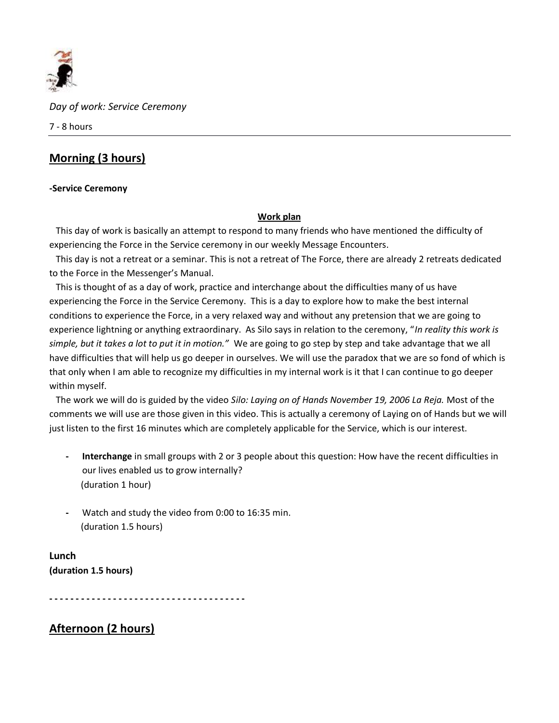

*Day of work: Service Ceremony*

7 - 8 hours

# **Morning (3 hours)**

## **-Service Ceremony**

## **Work plan**

This day of work is basically an attempt to respond to many friends who have mentioned the difficulty of experiencing the Force in the Service ceremony in our weekly Message Encounters.

 This day is not a retreat or a seminar. This is not a retreat of The Force, there are already 2 retreats dedicated to the Force in the Messenger's Manual.

 This is thought of as a day of work, practice and interchange about the difficulties many of us have experiencing the Force in the Service Ceremony. This is a day to explore how to make the best internal conditions to experience the Force, in a very relaxed way and without any pretension that we are going to experience lightning or anything extraordinary. As Silo says in relation to the ceremony, "*In reality this work is simple, but it takes a lot to put it in motion."* We are going to go step by step and take advantage that we all have difficulties that will help us go deeper in ourselves. We will use the paradox that we are so fond of which is that only when I am able to recognize my difficulties in my internal work is it that I can continue to go deeper within myself.

 The work we will do is guided by the video *Silo: Laying on of Hands November 19, 2006 La Reja.* Most of the comments we will use are those given in this video. This is actually a ceremony of Laying on of Hands but we will just listen to the first 16 minutes which are completely applicable for the Service, which is our interest.

- **- Interchange** in small groups with 2 or 3 people about this question: How have the recent difficulties in our lives enabled us to grow internally? (duration 1 hour)
- **-** Watch and study the video from 0:00 to 16:35 min. (duration 1.5 hours)

**Lunch (duration 1.5 hours)**

**- - - - - - - - - - - - - - - - - - - - - - - - - - - - - - - - - - - - -**

**Afternoon (2 hours)**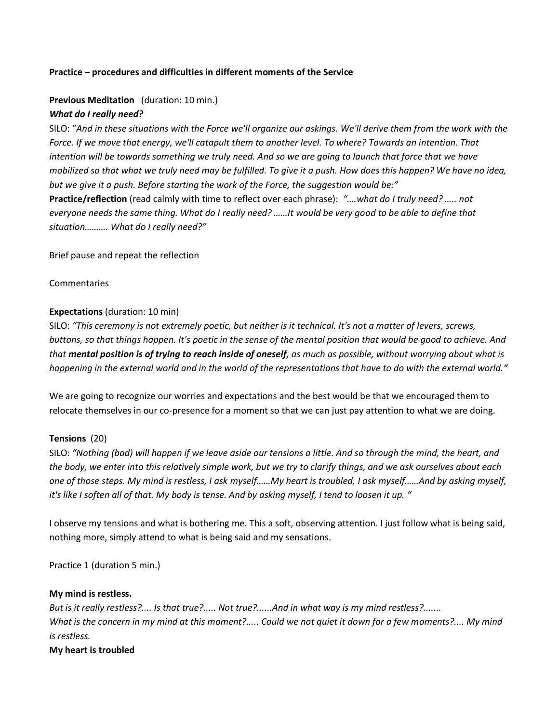#### **Practice – procedures and difficulties in different moments of the Service**

#### **Previous Meditation** (duration: 10 min.)

#### *What do I really need?*

SILO: "*And in these situations with the Force we'll organize our askings. We'll derive them from the work with the Force. If we move that energy, we'll catapult them to another level. To where? Towards an intention. That intention will be towards something we truly need. And so we are going to launch that force that we have mobilized so that what we truly need may be fulfilled. To give it a push. How does this happen? We have no idea, but we give it a push. Before starting the work of the Force, the suggestion would be:"* **Practice/reflection** (read calmly with time to reflect over each phrase): *"….what do I truly need? ….. not everyone needs the same thing. What do I really need? ……It would be very good to be able to define that situation………. What do I really need?"* 

Brief pause and repeat the reflection

Commentaries

#### **Expectations** (duration: 10 min)

SILO: *"This ceremony is not extremely poetic, but neither is it technical. It's not a matter of levers, screws, buttons, so that things happen. It's poetic in the sense of the mental position that would be good to achieve. And that mental position is of trying to reach inside of oneself, as much as possible, without worrying about what is happening in the external world and in the world of the representations that have to do with the external world."*

We are going to recognize our worries and expectations and the best would be that we encouraged them to relocate themselves in our co-presence for a moment so that we can just pay attention to what we are doing.

#### **Tensions** (20)

SILO: *"Nothing (bad) will happen if we leave aside our tensions a little. And so through the mind, the heart, and the body, we enter into this relatively simple work, but we try to clarify things, and we ask ourselves about each one of those steps. My mind is restless, I ask myself……My heart is troubled, I ask myself……And by asking myself, it's like I soften all of that. My body is tense. And by asking myself, I tend to loosen it up. "*

I observe my tensions and what is bothering me. This a soft, observing attention. I just follow what is being said, nothing more, simply attend to what is being said and my sensations.

Practice 1 (duration 5 min.)

#### **My mind is restless.**

*But is it really restless?.... Is that true?..... Not true?......And in what way is my mind restless?....... What is the concern in my mind at this moment?..... Could we not quiet it down for a few moments?.... My mind is restless.*

#### **My heart is troubled**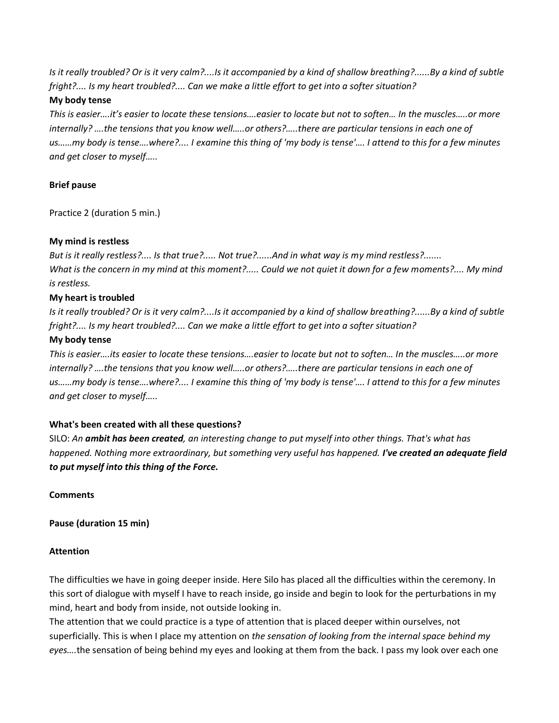*Is it really troubled? Or is it very calm?....Is it accompanied by a kind of shallow breathing?......By a kind of subtle fright?.... Is my heart troubled?.... Can we make a little effort to get into a softer situation?*

## **My body tense**

*This is easier….it's easier to locate these tensions….easier to locate but not to soften… In the muscles…..or more internally? ….the tensions that you know well…..or others?…..there are particular tensions in each one of us……my body is tense….where?.... I examine this thing of 'my body is tense'…. I attend to this for a few minutes and get closer to myself…..* 

# **Brief pause**

Practice 2 (duration 5 min.)

## **My mind is restless**

*But is it really restless?.... Is that true?..... Not true?......And in what way is my mind restless?....... What is the concern in my mind at this moment?..... Could we not quiet it down for a few moments?.... My mind is restless.*

## **My heart is troubled**

*Is it really troubled? Or is it very calm?....Is it accompanied by a kind of shallow breathing?......By a kind of subtle fright?.... Is my heart troubled?.... Can we make a little effort to get into a softer situation?*

## **My body tense**

*This is easier….its easier to locate these tensions….easier to locate but not to soften… In the muscles…..or more internally? ….the tensions that you know well…..or others?…..there are particular tensions in each one of us……my body is tense….where?.... I examine this thing of 'my body is tense'…. I attend to this for a few minutes and get closer to myself…..* 

# **What's been created with all these questions?**

SILO: *An ambit has been created, an interesting change to put myself into other things. That's what has happened. Nothing more extraordinary, but something very useful has happened. I've created an adequate field to put myself into this thing of the Force.*

**Comments**

**Pause (duration 15 min)**

#### **Attention**

The difficulties we have in going deeper inside. Here Silo has placed all the difficulties within the ceremony. In this sort of dialogue with myself I have to reach inside, go inside and begin to look for the perturbations in my mind, heart and body from inside, not outside looking in.

The attention that we could practice is a type of attention that is placed deeper within ourselves, not superficially. This is when I place my attention on *the sensation of looking from the internal space behind my eyes….*the sensation of being behind my eyes and looking at them from the back. I pass my look over each one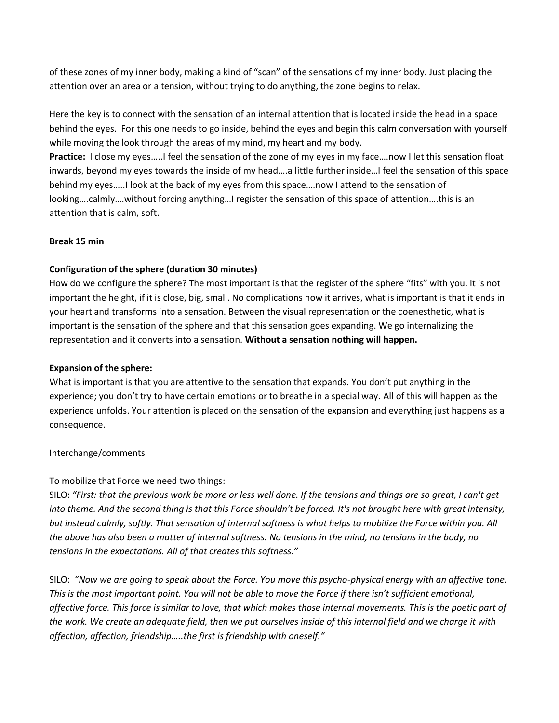of these zones of my inner body, making a kind of "scan" of the sensations of my inner body. Just placing the attention over an area or a tension, without trying to do anything, the zone begins to relax.

Here the key is to connect with the sensation of an internal attention that is located inside the head in a space behind the eyes. For this one needs to go inside, behind the eyes and begin this calm conversation with yourself while moving the look through the areas of my mind, my heart and my body.

**Practice:** I close my eyes…..I feel the sensation of the zone of my eyes in my face….now I let this sensation float inwards, beyond my eyes towards the inside of my head….a little further inside…I feel the sensation of this space behind my eyes…..I look at the back of my eyes from this space….now I attend to the sensation of looking….calmly….without forcing anything…I register the sensation of this space of attention….this is an attention that is calm, soft.

# **Break 15 min**

# **Configuration of the sphere (duration 30 minutes)**

How do we configure the sphere? The most important is that the register of the sphere "fits" with you. It is not important the height, if it is close, big, small. No complications how it arrives, what is important is that it ends in your heart and transforms into a sensation. Between the visual representation or the coenesthetic, what is important is the sensation of the sphere and that this sensation goes expanding. We go internalizing the representation and it converts into a sensation. **Without a sensation nothing will happen.** 

# **Expansion of the sphere:**

What is important is that you are attentive to the sensation that expands. You don't put anything in the experience; you don't try to have certain emotions or to breathe in a special way. All of this will happen as the experience unfolds. Your attention is placed on the sensation of the expansion and everything just happens as a consequence.

# Interchange/comments

# To mobilize that Force we need two things:

SILO: *"First: that the previous work be more or less well done. If the tensions and things are so great, I can't get into theme. And the second thing is that this Force shouldn't be forced. It's not brought here with great intensity, but instead calmly, softly. That sensation of internal softness is what helps to mobilize the Force within you. All the above has also been a matter of internal softness. No tensions in the mind, no tensions in the body, no tensions in the expectations. All of that creates this softness."*

SILO: *"Now we are going to speak about the Force. You move this psycho-physical energy with an affective tone. This is the most important point. You will not be able to move the Force if there isn't sufficient emotional, affective force. This force is similar to love, that which makes those internal movements. This is the poetic part of the work. We create an adequate field, then we put ourselves inside of this internal field and we charge it with affection, affection, friendship…..the first is friendship with oneself."*